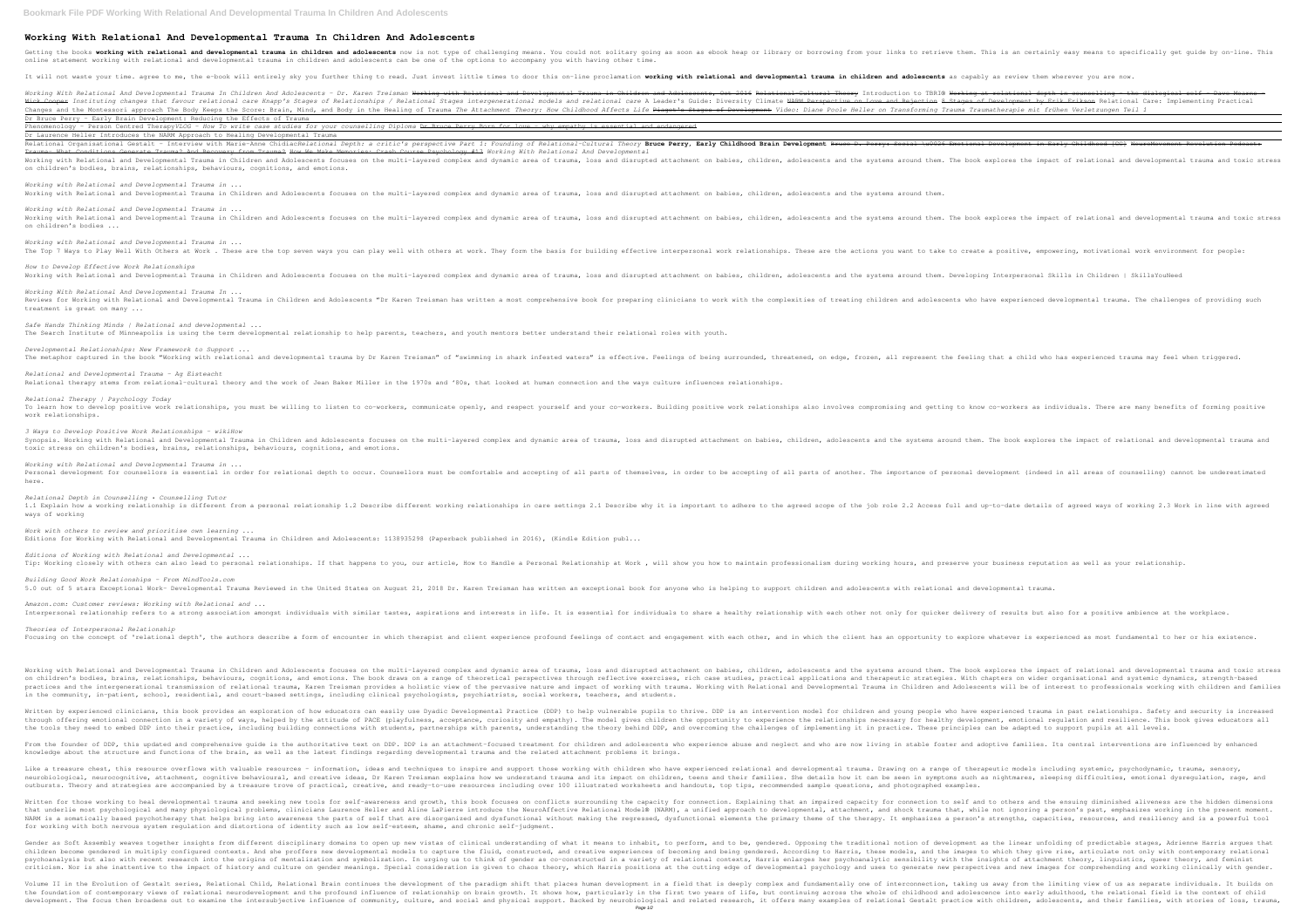## **Working With Relational And Developmental Trauma In Children And Adolescents**

Getting the books **working with relational and developmental trauma in children and adolescents** now is not type of challenging means. You could not solitary going as soon as ebook heap or library or borrowing from your li online statement working with relational and developmental trauma in children and adolescents can be one of the options to accompany you with having other time.

## It will not waste your time. agree to me, the e-book will entirely sky you further thing to read. Just invest little times to door this on-line proclamation working with relational and developmental trauma in children and

Working With Relational And Developmental Trauma In Children And Adolescents – Dr. Karen Treisman <del>Working at Morking at relational depth in counselling – the dialogical self – Dave Mearns – Dr. Karen Treisman Working with</del> Hick Cooper Instituting changes that favour relational care Knapp's Stages of Relationships / Relational Stages intergenerational models and relational care A Leader's Guide; Diversity Climate NARM Per<del>spection 8 Stages of</del> Changes and the Montessori approach The Body Keeps the Score: Brain, Mind, and Body in the Healing of Trauma *The attachment Theory: How Childhood Affects Life <del>Piaget's Stages of Development</del> Video: Diane Poole Heller on* Dr Bruce Perry - Early Brain Development: Reducing the Effects of Trauma

Phenomenology - Person Centred Therapy*VLOG - How To write case studies for your counselling Diploma* Dr Bruce Perry Born for love - why empathy is essential and endangered Dr Laurence Heller Introduces the NARM Approach to Healing Developmental Trauma

Relational Organisational Gestalt - Interview with Marie-Anne ChidiacRe*lational Depth: a critic's perspective Part 1: Founding of Relational-Cultural Theory Bruce Perry, Early Childhood Brain Development in Early Childhoo* Trauma- What Conditions Generate Trauma? And Recovery from Trauma? How We Make Memories: Crash Course Psychology #13 *Working With Relational And Developmental* Working with Relational and Developmental Trauma in Children and Adolescents focuses on the multi-layered complex and dynamic area of trauma, loss and disrupted attachment on babies, children, adolescents and dynamic area on children's bodies, brains, relationships, behaviours, cognitions, and emotions.

*Working with Relational and Developmental Trauma in ...* The Top 7 Ways to Play Well With Others at Work . These are the top seven ways you can play well with others at work. They form the basis for building effective interpersonal work relationships. These are the actions you w

*How to Develop Effective Work Relationships* Working with Relational and Developmental Trauma in Children and Adolescents focuses on the multi-layered complex and dynamic area of trauma, loss and disrupted attachment on babies, children, adolescents and the systems a

### *Working with Relational and Developmental Trauma in ...*

Working with Relational and Developmental Trauma in Children and Adolescents focuses on the multi-layered complex and dynamic area of trauma, loss and disrupted attachment on babies, children, adolescents and the systems a

Synopsis. Working with Relational and Developmental Trauma in Children and Adolescents focuses on the multi-layered complex and dynamic area of trauma, loss and disrupted attachment on babies, children, adolescents and dyn toxic stress on children's bodies, brains, relationships, behaviours, cognitions, and emotions.

*Working with Relational and Developmental Trauma in ...* Working with Relational and Developmental Trauma in Children and Adolescents focuses on the multi-layered complex and dynamic area of trauma, loss and disrupted attachment on babies, children, adolescents and dynamic area on children's bodies ...

*Editions of Working with Relational and Developmental ...* Tip: Working closely with others can also lead to personal relationships. If that happens to you, our article, How to Handle a Personal Relationship at Work, will show you how to maintain professionalism during working hou

*Amazon.com: Customer reviews: Working with Relational and ...* Interpersonal relationship refers to a strong association amongst individuals with similar tastes, aspirations and interests in life. It is essential for individuals to share a healthy relationship with each other not only

*Working With Relational And Developmental Trauma In ...* Reviews for Working with Relational and Developmental Trauma in Children and Adolescents "Dr Karen Treisman has written a most comprehensive book for preparing clinicians to work with the comprehensive book for preparing c treatment is great on many ...

## *Safe Hands Thinking Minds | Relational and developmental ...*

The Search Institute of Minneapolis is using the term developmental relationship to help parents, teachers, and youth mentors better understand their relational roles with youth.

## *Developmental Relationships: New Framework to Support ...*

*Relational and Developmental Trauma - Ag Eisteacht*

The metaphor captured in the book "Working with relational and developmental trauma by Dr Karen Treisman" of "swimming in shark infested waters" is effective. Feelings of being surrounded, threatened, on edge, frozen, all

# Relational therapy stems from relational-cultural theory and the work of Jean Baker Miller in the 1970s and '80s, that looked at human connection and the ways culture influences relationships.

From the founder of DDP, this updated and comprehensive guide is the authoritative text on DDP. DDP is an attachment-focused treatment for children and adolescents who are now living in stable foster and adoptive families. knowledge about the structure and functions of the brain, as well as the latest findings regarding developmental trauma and the related attachment problems it brings.

Like a treasure chest, this resource overflows with valuable resources – information, ideas and techniques to inspire and support those working with children who have experienced relational and developmental trauma. Drawin neurobiological, neurocognitive, attachment, cognitive behavioural, and creative ideas, Dr Karen Treisman explains how we understand trauma and its impact on children, teens and their families. She details how we understan outbursts. Theory and strategies are accompanied by a treasure trove of practical, creative, and ready-to-use resources including over 100 illustrated worksheets and handouts, top tips, recommended sample questions, and ph

*Relational Therapy | Psychology Today* To learn how to develop positive work relationships, you must be willing to listen to co-workers, communicate openly, and respect yourself and your co-workers. Building positive work relationships also involves compromisin work relationships.

## *3 Ways to Develop Positive Work Relationships - wikiHow*

Written for those working to heal developmental trauma and seeking new tools for self-awareness and growth, this book focuses on conflicts surrounding the capacity for connection. Explaining that an impaired capacity for c that underlie most psychological and many physiological problems, clinicians Laurence Heller and Aline LaPierre introduce the NeuroAffective Relational Model® (NARM), a unified approach to developmental, and shock trauma t NARM is a somatically based psychotherapy that helps bring into awareness the parts of self that are disorganized and dysfunctional without making the regressed, dysfunctional elements the primary theme of the therapy. It for working with both nervous system regulation and distortions of identity such as low self-esteem, shame, and chronic self-judgment.

Gender as Soft Assembly weaves together insights from different disciplinary domains to open up new vistas of clinical understanding of what it means to inhabit, to perform, and to be, gendered. Opposing the traditional no children become gendered in multiply configured contexts. And she proffers new developmental models to capture the fluid, constructed, and the images to which they give rise, articulate not only with contemporary relationa psychoanalysis but also with recent research into the origins of mentalization and symbolization. In urging us to think of gender as co-constructed in a variety of relational contexts, Harris enlarges her psychoanalytic se criticism. Nor is she inattentive to the impact of history and culture on gender meanings. Special consideration is given to chaos theory, which Harris positions at the cutting edge of developmental psychology and uses to

*Working with Relational and Developmental Trauma in ...* Personal development for counsellors is essential in order for relational depth to occur. Counsellors must be comfortable and accepting of all parts of themselves, in order to be accepting of all parts of themselves, in or here.

*Relational Depth in Counselling • Counselling Tutor* 1.1 Explain how a working relationship is different from a personal relationship 1.2 Describe different working relationships in care settings 2.1 Describe why it is important to adhere to the job role 2.2 Access full and ways of working

*Work with others to review and prioritise own learning ...* Editions for Working with Relational and Developmental Trauma in Children and Adolescents: 1138935298 (Paperback published in 2016), (Kindle Edition publ...

Volume II in the Evolution of Gestalt series, Relational Child, Relational Brain continues the development of the paradigm shift that places human development in a field that is deeply complex and fundamentally one of inte the foundation of contemporary views of relational neurodevelopment and the profound influence of relationship on brain growth. It shows how, particularly in the first two years of life, but continuing across the whole of development. The focus then broadens out to examine the intersubjective influence of community, culture, and social and physical support. Backed by neurobiological and relational Gestalt practice with children, adolescents Page 1/2

## 5.0 out of 5 stars Exceptional Work- Developmental Trauma Reviewed in the United States on August 21, 2018 Dr. Karen Treisman has written an exceptional book for anyone who is helping to support children and adolescents wi

## Focusing on the concept of 'relational depth', the authors describe a form of encounter in which therapist and client experience profound feelings of contact and engagement with each other, and in which the client experien

*Building Good Work Relationships - From MindTools.com*

*Theories of Interpersonal Relationship*

Working with Relational and Developmental Trauma in Children and Adolescents focuses on the multi-layered complex and dynamic area of trauma, loss and disrupted attachment on babies, children, adolescents and dynamic area on children's bodies, brains, relationships, behaviours, cognitions, and emotions. The book draws on a range of theoretical perspectives through reflective exercises, rich case studies, practical applications and therapeut practices and the intergenerational transmission of relational trauma, Karen Treisman provides a holistic view of the pervasive nature and Adolescents will be of interest to professionals working with children and families in the community, in-patient, school, residential, and court-based settings, including clinical psychologists, psychiatrists, social workers, teachers, and students.

Written by experienced clinicians, this book provides an exploration of how educators can easily use Dyadic Developmental Practice (DDP) to help vulnerable pupils to thrive. DDP is an intervention model for children and yo through offering emotional connection in a variety of ways, helped by the attitude of PACE (playfulness, acceptance, curiosity and empathy). The model gives children the opportunity to experience, curiosity and empathy). T the tools they need to embed DDP into their practice, including building connections with students, partnerships with parents, understanding the challenges of implementing it in practice. These principles can be adapted to